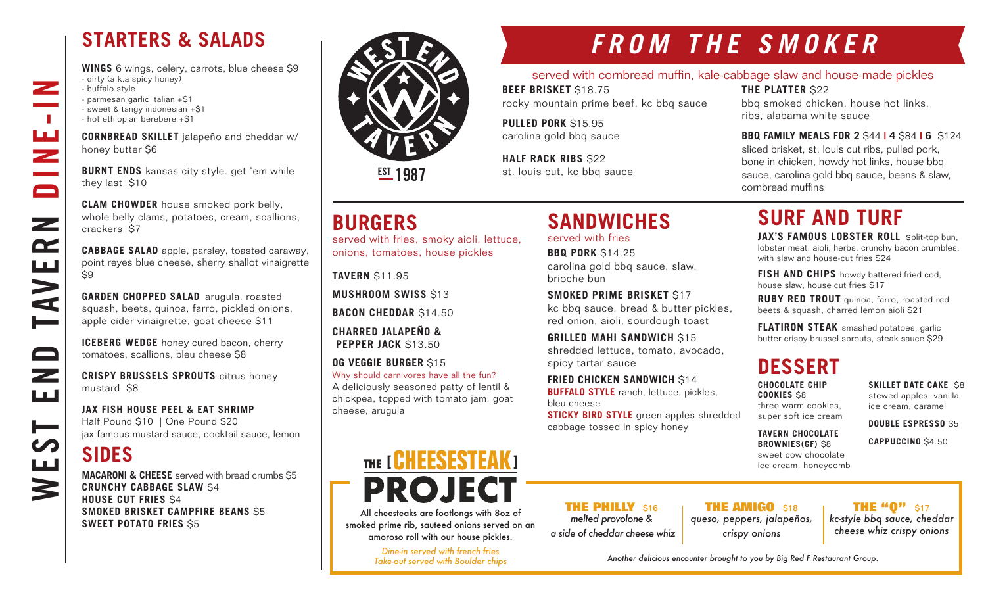### **STARTERS & SALADS**

**WINGS** 6 wings, celery, carrots, blue cheese \$9 - dirty (a.k.a spicy honey) - buffalo style - parmesan garlic italian +\$1 - sweet & tangy indonesian +\$1 - hot ethiopian berebere +\$1

**CORNBREAD SKILLET** jalapeño and cheddar w/ honey butter \$6

**BURNT ENDS** kansas city style. get 'em while they last \$10

**CLAM CHOWDER** house smoked pork belly, whole belly clams, potatoes, cream, scallions, crackers \$7

**CABBAGE SALAD** apple, parsley, toasted caraway, point reyes blue cheese, sherry shallot vinaigrette  $\overline{\mathsf{S}}9$ 

**GARDEN CHOPPED SALAD** arugula, roasted squash, beets, quinoa, farro, pickled onions, apple cider vinaigrette, goat cheese \$11

**ICEBERG WEDGE** honey cured bacon, cherry tomatoes, scallions, bleu cheese \$8

**CRISPY BRUSSELS SPROUTS** citrus honey mustard \$8

**JAX FISH HOUSE PEEL & EAT SHRIMP** Half Pound \$10 | One Pound \$20 jax famous mustard sauce, cocktail sauce, lemon

### **SIDES**

WEST END TAVERN DINE-IN

 $\overline{\phantom{a}}$ 

 $\mathbb{R}^n$ 

ш<br>Z

 $\blacksquare$ 

 $\mathbf{z}$ 

 $\mathbf{r}$ 

**AVE** 

صط

 $\qquad \qquad \Box$ 

 $\overline{\phantom{0}}$ ШÚ

┝══

<u>LLI</u>

3

**MACARONI & CHEESE** served with bread crumbs \$5 **CRUNCHY CABBAGE SLAW** \$4 **HOUSE CUT FRIES** \$4 **SMOKED BRISKET CAMPFIRE BEANS** \$5 **SWEET POTATO FRIES** \$5



**EST 1987** 

### **BURGERS**

served with fries, smoky aioli, lettuce, onions, tomatoes, house pickles

**TAVERN** \$11.95

**MUSHROOM SWISS** \$13

**BACON CHEDDAR** \$14.50

**CHARRED JALAPEÑO & PEPPER JACK** \$13.50

**OG VEGGIE BURGER** \$15

Why should carnivores have all the fun? A deliciously seasoned patty of lentil & chickpea, topped with tomato jam, goat cheese, arugula

# THE [ GHEESESTEAK ] **PROJEC**

All cheesteaks are footlongs with 8oz of smoked prime rib, sauteed onions served on an amoroso roll with our house pickles.

> *Dine-in served with french fries Take-out served with Boulder chips*

**THE PHILLY** \$16 *melted provolone & a side of cheddar cheese whiz*

**THE AMIGO** \$18 *queso, peppers, jalapeños, crispy onions*

**THE "0"** \$17 *kc-style bbq sauce, cheddar cheese whiz crispy onions*

#### *Another delicious encounter brought to you by Big Red F Restaurant Group.*

# **FROM THE SMOKER**

### served with cornbread muffin, kale-cabbage slaw and house-made pickles

**BEEF BRISKET** \$18.75 rocky mountain prime beef, kc bbq sauce

**SANDWICHES** 

carolina gold bbq sauce, slaw,

**SMOKED PRIME BRISKET** \$17

 **FRIED CHICKEN SANDWICH** \$14 **BUFFALO STYLE** ranch, lettuce, pickles,

cabbage tossed in spicy honey

kc bbq sauce, bread & butter pickles, red onion, aioli, sourdough toast **GRILLED MAHI SANDWICH S15** shredded lettuce, tomato, avocado,

served with fries **BBQ PORK** \$14.25

spicy tartar sauce

bleu cheese

brioche bun

**PULLED PORK** \$15.95 carolina gold bbq sauce

**HALF RACK RIBS \$22** st. louis cut, kc bbq sauce

bbq smoked chicken, house hot links, ribs, alabama white sauce

**THE PLATTER** \$22

#### **BBQ FAMILY MEALS FOR 2** \$44 **| 4** \$84 **| 6** \$124 sliced brisket, st. louis cut ribs, pulled pork, bone in chicken, howdy hot links, house bbq sauce, carolina gold bbq sauce, beans & slaw, cornbread muffins

## **SURF AND TURF**

**JAX'S FAMOUS LOBSTER ROLL** split-top bun, lobster meat, aioli, herbs, crunchy bacon crumbles, with slaw and house-cut fries \$24

**FISH AND CHIPS** howdy battered fried cod, house slaw, house cut fries \$17

**RUBY RED TROUT** quinoa, farro, roasted red beets & squash, charred lemon aioli \$21

**FLATIRON STEAK** smashed potatoes, garlic butter crispy brussel sprouts, steak sauce \$29

### **DESSERT**

**CHOCOLATE CHIP COOKIES** \$8 three warm cookies, super soft ice cream

**TAVERN CHOCOLATE BROWNIES(GF)** \$8 sweet cow chocolate ice cream, honeycomb **SKILLET DATE CAKE S8** stewed apples, vanilla ice cream, caramel

**DOUBLE ESPRESSO** \$5

**CAPPUCCINO** \$4.50

**STICKY BIRD STYLE** green apples shredded